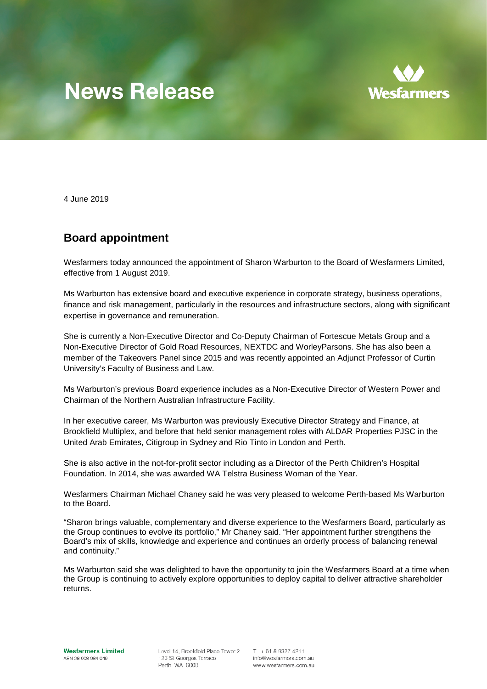## **News Release**



4 June 2019

## **Board appointment**

Wesfarmers today announced the appointment of Sharon Warburton to the Board of Wesfarmers Limited, effective from 1 August 2019.

Ms Warburton has extensive board and executive experience in corporate strategy, business operations, finance and risk management, particularly in the resources and infrastructure sectors, along with significant expertise in governance and remuneration.

She is currently a Non-Executive Director and Co-Deputy Chairman of Fortescue Metals Group and a Non-Executive Director of Gold Road Resources, NEXTDC and WorleyParsons. She has also been a member of the Takeovers Panel since 2015 and was recently appointed an Adjunct Professor of Curtin University's Faculty of Business and Law.

Ms Warburton's previous Board experience includes as a Non-Executive Director of Western Power and Chairman of the Northern Australian Infrastructure Facility.

In her executive career, Ms Warburton was previously Executive Director Strategy and Finance, at Brookfield Multiplex, and before that held senior management roles with ALDAR Properties PJSC in the United Arab Emirates, Citigroup in Sydney and Rio Tinto in London and Perth.

She is also active in the not-for-profit sector including as a Director of the Perth Children's Hospital Foundation. In 2014, she was awarded WA Telstra Business Woman of the Year.

Wesfarmers Chairman Michael Chaney said he was very pleased to welcome Perth-based Ms Warburton to the Board.

"Sharon brings valuable, complementary and diverse experience to the Wesfarmers Board, particularly as the Group continues to evolve its portfolio," Mr Chaney said. "Her appointment further strengthens the Board's mix of skills, knowledge and experience and continues an orderly process of balancing renewal and continuity."

Ms Warburton said she was delighted to have the opportunity to join the Wesfarmers Board at a time when the Group is continuing to actively explore opportunities to deploy capital to deliver attractive shareholder returns.

Level 14. Brookfield Place Tower 2 123 St Georges Terrace Perth WA 6000

 $T + 61893274211$ info@wesfarmers.com.au www.wesfarmers.com.au